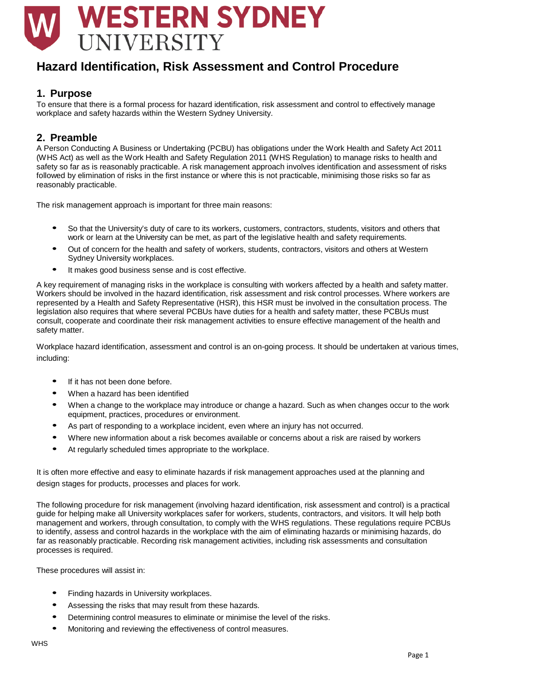# **WESTERN SYDNEY** UNIVERSITY

## **Hazard Identification, Risk Assessment and Control Procedure**

## **1. Purpose**

To ensure that there is a formal process for hazard identification, risk assessment and control to effectively manage workplace and safety hazards within the Western Sydney University.

## **2. Preamble**

A Person Conducting A Business or Undertaking (PCBU) has obligations under the Work Health and Safety Act 2011 (WHS Act) as well as the Work Health and Safety Regulation 2011 (WHS Regulation) to manage risks to health and safety so far as is reasonably practicable. A risk management approach involves identification and assessment of risks followed by elimination of risks in the first instance or where this is not practicable, minimising those risks so far as reasonably practicable.

The risk management approach is important for three main reasons:

- So that the University's duty of care to its workers, customers, contractors, students, visitors and others that work or learn at the University can be met, as part of the legislative health and safety requirements.
- Out of concern for the health and safety of workers, students, contractors, visitors and others at Western Sydney University workplaces.
- It makes good business sense and is cost effective.

A key requirement of managing risks in the workplace is consulting with workers affected by a health and safety matter. Workers should be involved in the hazard identification, risk assessment and risk control processes. Where workers are represented by a Health and Safety Representative (HSR), this HSR must be involved in the consultation process. The legislation also requires that where several PCBUs have duties for a health and safety matter, these PCBUs must consult, cooperate and coordinate their risk management activities to ensure effective management of the health and safety matter.

Workplace hazard identification, assessment and control is an on-going process. It should be undertaken at various times, including:

- If it has not been done before.
- When a hazard has been identified
- When a change to the workplace may introduce or change a hazard. Such as when changes occur to the work equipment, practices, procedures or environment.
- As part of responding to a workplace incident, even where an injury has not occurred.
- Where new information about a risk becomes available or concerns about a risk are raised by workers
- At regularly scheduled times appropriate to the workplace.

It is often more effective and easy to eliminate hazards if risk management approaches used at the planning and design stages for products, processes and places for work.

The following procedure for risk management (involving hazard identification, risk assessment and control) is a practical guide for helping make all University workplaces safer for workers, students, contractors, and visitors. It will help both management and workers, through consultation, to comply with the WHS regulations. These regulations require PCBUs to identify, assess and control hazards in the workplace with the aim of eliminating hazards or minimising hazards, do far as reasonably practicable. Recording risk management activities, including risk assessments and consultation processes is required.

These procedures will assist in:

- Finding hazards in University workplaces.
- Assessing the risks that may result from these hazards.
- Determining control measures to eliminate or minimise the level of the risks.
- Monitoring and reviewing the effectiveness of control measures.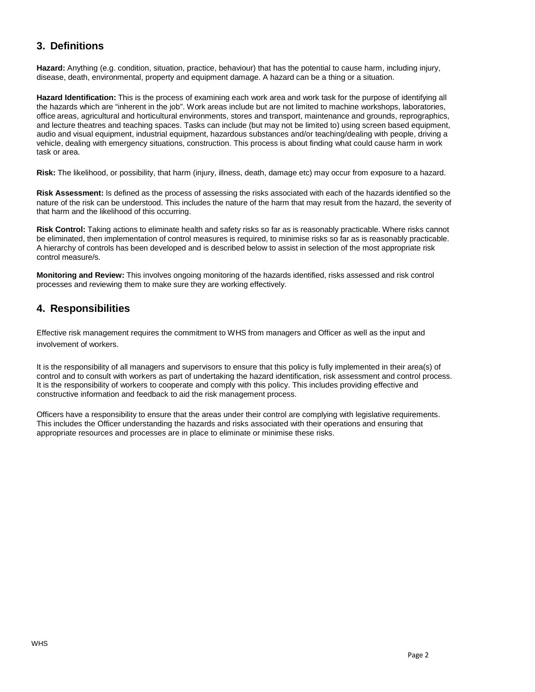## **3. Definitions**

**Hazard:** Anything (e.g. condition, situation, practice, behaviour) that has the potential to cause harm, including injury, disease, death, environmental, property and equipment damage. A hazard can be a thing or a situation.

**Hazard Identification:** This is the process of examining each work area and work task for the purpose of identifying all the hazards which are "inherent in the job". Work areas include but are not limited to machine workshops, laboratories, office areas, agricultural and horticultural environments, stores and transport, maintenance and grounds, reprographics, and lecture theatres and teaching spaces. Tasks can include (but may not be limited to) using screen based equipment, audio and visual equipment, industrial equipment, hazardous substances and/or teaching/dealing with people, driving a vehicle, dealing with emergency situations, construction. This process is about finding what could cause harm in work task or area.

**Risk:** The likelihood, or possibility, that harm (injury, illness, death, damage etc) may occur from exposure to a hazard.

**Risk Assessment:** Is defined as the process of assessing the risks associated with each of the hazards identified so the nature of the risk can be understood. This includes the nature of the harm that may result from the hazard, the severity of that harm and the likelihood of this occurring.

**Risk Control:** Taking actions to eliminate health and safety risks so far as is reasonably practicable. Where risks cannot be eliminated, then implementation of control measures is required, to minimise risks so far as is reasonably practicable. A hierarchy of controls has been developed and is described below to assist in selection of the most appropriate risk control measure/s.

**Monitoring and Review:** This involves ongoing monitoring of the hazards identified, risks assessed and risk control processes and reviewing them to make sure they are working effectively.

## **4. Responsibilities**

Effective risk management requires the commitment to WHS from managers and Officer as well as the input and involvement of workers.

It is the responsibility of all managers and supervisors to ensure that this policy is fully implemented in their area(s) of control and to consult with workers as part of undertaking the hazard identification, risk assessment and control process. It is the responsibility of workers to cooperate and comply with this policy. This includes providing effective and constructive information and feedback to aid the risk management process.

Officers have a responsibility to ensure that the areas under their control are complying with legislative requirements. This includes the Officer understanding the hazards and risks associated with their operations and ensuring that appropriate resources and processes are in place to eliminate or minimise these risks.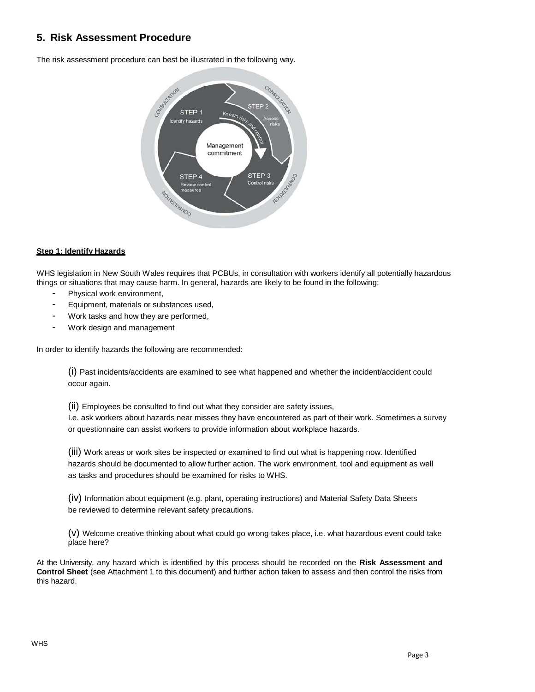## **5. Risk Assessment Procedure**

The risk assessment procedure can best be illustrated in the following way.



#### **Step 1: Identify Hazards**

WHS legislation in New South Wales requires that PCBUs, in consultation with workers identify all potentially hazardous things or situations that may cause harm. In general, hazards are likely to be found in the following;

- Physical work environment,
- Equipment, materials or substances used,
- Work tasks and how they are performed,
- Work design and management

In order to identify hazards the following are recommended:

(i) Past incidents/accidents are examined to see what happened and whether the incident/accident could occur again.

(ii) Employees be consulted to find out what they consider are safety issues, I.e. ask workers about hazards near misses they have encountered as part of their work. Sometimes a survey or questionnaire can assist workers to provide information about workplace hazards.

(iii) Work areas or work sites be inspected or examined to find out what is happening now. Identified hazards should be documented to allow further action. The work environment, tool and equipment as well as tasks and procedures should be examined for risks to WHS.

(iv) Information about equipment (e.g. plant, operating instructions) and Material Safety Data Sheets be reviewed to determine relevant safety precautions.

(v) Welcome creative thinking about what could go wrong takes place, i.e. what hazardous event could take place here?

At the University, any hazard which is identified by this process should be recorded on the **Risk Assessment and Control Sheet** (see Attachment 1 to this document) and further action taken to assess and then control the risks from this hazard.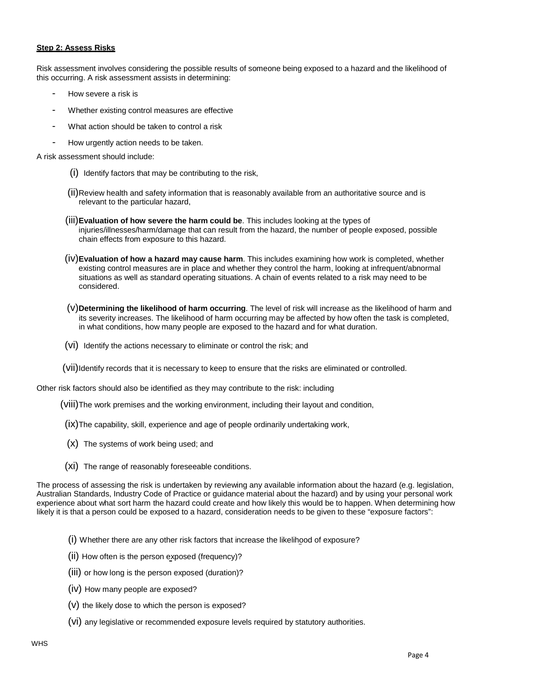#### **Step 2: Assess Risks**

Risk assessment involves considering the possible results of someone being exposed to a hazard and the likelihood of this occurring. A risk assessment assists in determining:

- How severe a risk is
- Whether existing control measures are effective
- What action should be taken to control a risk
- How urgently action needs to be taken.

A risk assessment should include:

- (i) Identify factors that may be contributing to the risk,
- (ii)Review health and safety information that is reasonably available from an authoritative source and is relevant to the particular hazard,
- (iii)**Evaluation of how severe the harm could be**. This includes looking at the types of injuries/illnesses/harm/damage that can result from the hazard, the number of people exposed, possible chain effects from exposure to this hazard.
- (iv)**Evaluation of how a hazard may cause harm**. This includes examining how work is completed, whether existing control measures are in place and whether they control the harm, looking at infrequent/abnormal situations as well as standard operating situations. A chain of events related to a risk may need to be considered.
- (v)**Determining the likelihood of harm occurring**. The level of risk will increase as the likelihood of harm and its severity increases. The likelihood of harm occurring may be affected by how often the task is completed, in what conditions, how many people are exposed to the hazard and for what duration.
- (vi) Identify the actions necessary to eliminate or control the risk; and
- (vii)Identify records that it is necessary to keep to ensure that the risks are eliminated or controlled.

Other risk factors should also be identified as they may contribute to the risk: including

- (viii)The work premises and the working environment, including their layout and condition,
- (ix)The capability, skill, experience and age of people ordinarily undertaking work,
- (x) The systems of work being used; and
- (xi) The range of reasonably foreseeable conditions.

The process of assessing the risk is undertaken by reviewing any available information about the hazard (e.g. legislation, Australian Standards, Industry Code of Practice or guidance material about the hazard) and by using your personal work experience about what sort harm the hazard could create and how likely this would be to happen. When determining how likely it is that a person could be exposed to a hazard, consideration needs to be given to these "exposure factors":

- (i) Whether there are any other risk factors that increase the likelihood of exposure?
- (ii) How often is the person exposed (frequency)?
- (iii) or how long is the person exposed (duration)?
- (iv) How many people are exposed?
- (v) the likely dose to which the person is exposed?
- (vi) any legislative or recommended exposure levels required by statutory authorities.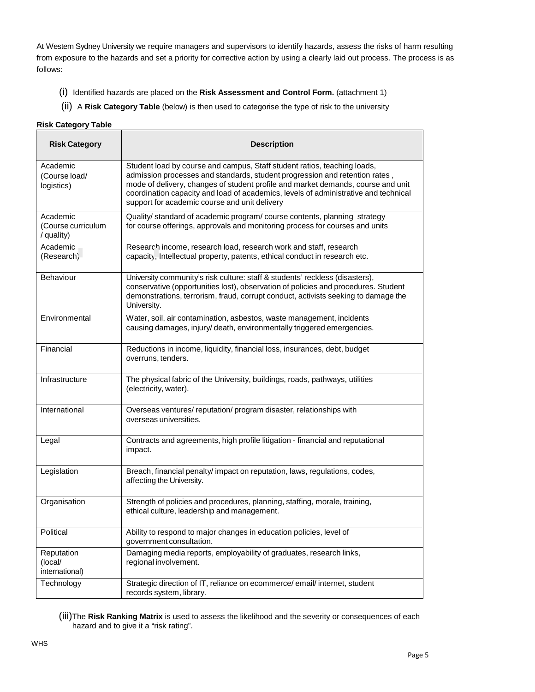At Western Sydney University we require managers and supervisors to identify hazards, assess the risks of harm resulting from exposure to the hazards and set a priority for corrective action by using a clearly laid out process. The process is as follows:

- (i) Identified hazards are placed on the **Risk Assessment and Control Form.** (attachment 1)
- (ii) A **Risk Category Table** (below) is then used to categorise the type of risk to the university

#### **Risk Category Table**

| <b>Risk Category</b>                         | <b>Description</b>                                                                                                                                                                                                                                                                                                                                                                  |  |  |  |
|----------------------------------------------|-------------------------------------------------------------------------------------------------------------------------------------------------------------------------------------------------------------------------------------------------------------------------------------------------------------------------------------------------------------------------------------|--|--|--|
| Academic<br>(Course load/<br>logistics)      | Student load by course and campus, Staff student ratios, teaching loads,<br>admission processes and standards, student progression and retention rates,<br>mode of delivery, changes of student profile and market demands, course and unit<br>coordination capacity and load of academics, levels of administrative and technical<br>support for academic course and unit delivery |  |  |  |
| Academic<br>(Course curriculum<br>/ quality) | Quality/ standard of academic program/ course contents, planning strategy<br>for course offerings, approvals and monitoring process for courses and units                                                                                                                                                                                                                           |  |  |  |
| Academic<br>(Research)                       | Research income, research load, research work and staff, research<br>capacity, Intellectual property, patents, ethical conduct in research etc.                                                                                                                                                                                                                                     |  |  |  |
| <b>Behaviour</b>                             | University community's risk culture: staff & students' reckless (disasters),<br>conservative (opportunities lost), observation of policies and procedures. Student<br>demonstrations, terrorism, fraud, corrupt conduct, activists seeking to damage the<br>University.                                                                                                             |  |  |  |
| Environmental                                | Water, soil, air contamination, asbestos, waste management, incidents<br>causing damages, injury/ death, environmentally triggered emergencies.                                                                                                                                                                                                                                     |  |  |  |
| Financial                                    | Reductions in income, liquidity, financial loss, insurances, debt, budget<br>overruns, tenders.                                                                                                                                                                                                                                                                                     |  |  |  |
| Infrastructure                               | The physical fabric of the University, buildings, roads, pathways, utilities<br>(electricity, water).                                                                                                                                                                                                                                                                               |  |  |  |
| International                                | Overseas ventures/reputation/program disaster, relationships with<br>overseas universities.                                                                                                                                                                                                                                                                                         |  |  |  |
| Legal                                        | Contracts and agreements, high profile litigation - financial and reputational<br>impact.                                                                                                                                                                                                                                                                                           |  |  |  |
| Legislation                                  | Breach, financial penalty/ impact on reputation, laws, regulations, codes,<br>affecting the University.                                                                                                                                                                                                                                                                             |  |  |  |
| Organisation                                 | Strength of policies and procedures, planning, staffing, morale, training,<br>ethical culture, leadership and management.                                                                                                                                                                                                                                                           |  |  |  |
| Political                                    | Ability to respond to major changes in education policies, level of<br>government consultation.                                                                                                                                                                                                                                                                                     |  |  |  |
| Reputation<br>(local/<br>international)      | Damaging media reports, employability of graduates, research links,<br>regional involvement.                                                                                                                                                                                                                                                                                        |  |  |  |
| Technology                                   | Strategic direction of IT, reliance on ecommerce/ email/ internet, student<br>records system, library.                                                                                                                                                                                                                                                                              |  |  |  |

(iii)The **Risk Ranking Matrix** is used to assess the likelihood and the severity or consequences of each hazard and to give it a "risk rating".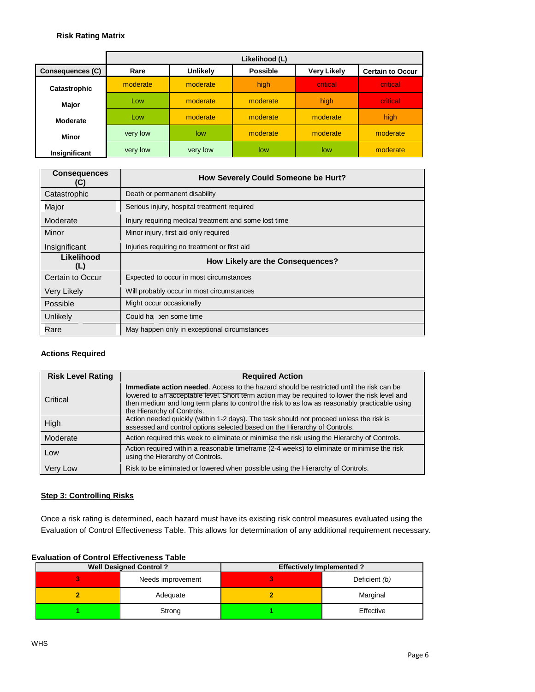#### **Risk Rating Matrix**

|                         | Likelihood (L) |          |                 |                    |                         |
|-------------------------|----------------|----------|-----------------|--------------------|-------------------------|
| <b>Consequences (C)</b> | Rare           | Unlikely | <b>Possible</b> | <b>Very Likely</b> | <b>Certain to Occur</b> |
| Catastrophic            | moderate       | moderate | high            | critical           | critical                |
| Major                   | Low            | moderate | moderate        | high               | critical                |
| Moderate                | Low            | moderate | moderate        | moderate           | high.                   |
| Minor                   | very low       | low      | moderate        | moderate           | moderate                |
| Insignificant           | very low       | very low | low             | low                | moderate                |

| <b>Consequences</b><br>C) | How Severely Could Someone be Hurt?                   |  |
|---------------------------|-------------------------------------------------------|--|
| Catastrophic              | Death or permanent disability                         |  |
| Major                     | Serious injury, hospital treatment required           |  |
| Moderate                  | Injury requiring medical treatment and some lost time |  |
| Minor                     | Minor injury, first aid only required                 |  |
| Insignificant             | Injuries requiring no treatment or first aid          |  |
| Likelihood<br>(L)         | How Likely are the Consequences?                      |  |
| Certain to Occur          | Expected to occur in most circumstances               |  |
| Very Likely               | Will probably occur in most circumstances             |  |
| Possible                  | Might occur occasionally                              |  |
| Unlikely                  | Could ha ben some time                                |  |
| Rare                      | May happen only in exceptional circumstances          |  |

#### **Actions Required**

| <b>Risk Level Rating</b> | <b>Required Action</b>                                                                                                                                                                                                                                                                                                          |  |  |
|--------------------------|---------------------------------------------------------------------------------------------------------------------------------------------------------------------------------------------------------------------------------------------------------------------------------------------------------------------------------|--|--|
| Critical                 | <b>Immediate action needed.</b> Access to the hazard should be restricted until the risk can be<br>lowered to an acceptable level. Short term action may be required to lower the risk level and<br>then medium and long term plans to control the risk to as low as reasonably practicable using<br>the Hierarchy of Controls. |  |  |
| High                     | Action needed quickly (within 1-2 days). The task should not proceed unless the risk is<br>assessed and control options selected based on the Hierarchy of Controls.                                                                                                                                                            |  |  |
| Moderate                 | Action required this week to eliminate or minimise the risk using the Hierarchy of Controls.                                                                                                                                                                                                                                    |  |  |
| Low                      | Action required within a reasonable timeframe (2-4 weeks) to eliminate or minimise the risk<br>using the Hierarchy of Controls.                                                                                                                                                                                                 |  |  |
| Very Low                 | Risk to be eliminated or lowered when possible using the Hierarchy of Controls.                                                                                                                                                                                                                                                 |  |  |

#### **Step 3: Controlling Risks**

Once a risk rating is determined, each hazard must have its existing risk control measures evaluated using the Evaluation of Control Effectiveness Table. This allows for determination of any additional requirement necessary.

#### **Evaluation of Control Effectiveness Table**

| <b>Well Designed Control?</b> |                   | <b>Effectively Implemented?</b> |               |  |
|-------------------------------|-------------------|---------------------------------|---------------|--|
|                               | Needs improvement |                                 | Deficient (b) |  |
|                               | Adequate          |                                 | Marginal      |  |
|                               | Strong            |                                 | Effective     |  |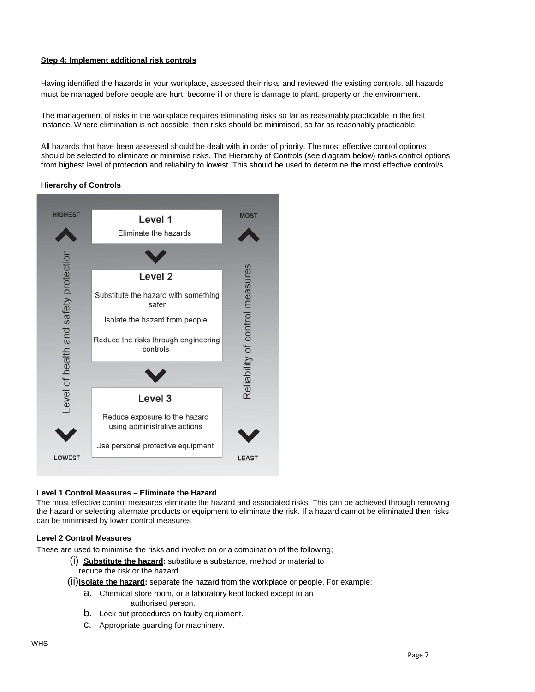#### **Step 4: Implement additional risk controls**

Having identified the hazards in your workplace, assessed their risks and reviewed the existing controls, all hazards must be managed before people are hurt, become ill or there is damage to plant, property or the environment.

The management of risks in the workplace requires eliminating risks so far as reasonably practicable in the first instance. Where elimination is not possible, then risks should be minimised, so far as reasonably practicable.

All hazards that have been assessed should be dealt with in order of priority. The most effective control option/s should be selected to eliminate or minimise risks. The Hierarchy of Controls (see diagram below) ranks control options from highest level of protection and reliability to lowest. This should be used to determine the most effective control/s.

#### **Hierarchy of Controls**



#### **Level 1 Control Measures – Eliminate the Hazard**

The most effective control measures eliminate the hazard and associated risks. This can be achieved through removing the hazard or selecting alternate products or equipment to eliminate the risk. If a hazard cannot be eliminated then risks can be minimised by lower control measures

#### **Level 2 Control Measures**

These are used to minimise the risks and involve on or a combination of the following;

- (i) **Substitute the hazard:** substitute a substance, method or material to reduce the risk or the hazard
- (ii)**Isolate the hazard:** separate the hazard from the workplace or people, For example;
	- a. Chemical store room, or a laboratory kept locked except to an authorised person.
	- b. Lock out procedures on faulty equipment.
	- c. Appropriate guarding for machinery.